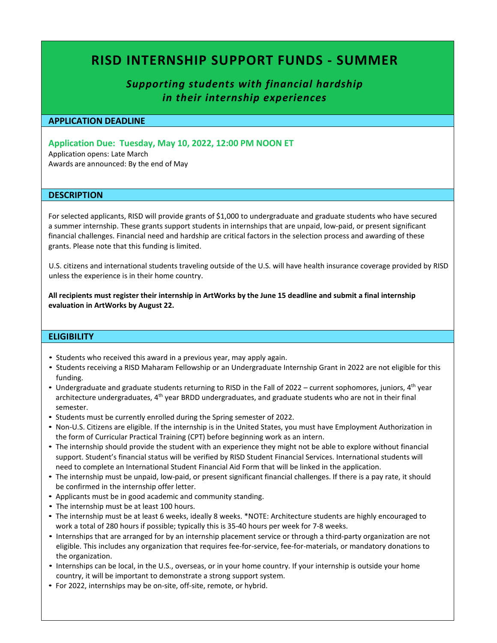# **RISD INTERNSHIP SUPPORT FUNDS - SUMMER**

## *Supporting students with financial hardship in their internship experiences*

#### **APPLICATION DEADLINE**

### **Application Due: Tuesday, May 10, 2022, 12:00 PM NOON ET**

Application opens: Late March Awards are announced: By the end of May

#### **DESCRIPTION**

For selected applicants, RISD will provide grants of \$1,000 to undergraduate and graduate students who have secured a summer internship. These grants support students in internships that are unpaid, low-paid, or present significant financial challenges. Financial need and hardship are critical factors in the selection process and awarding of these grants. Please note that this funding is limited.

U.S. citizens and international students traveling outside of the U.S. will have health insurance coverage provided by RISD unless the experience is in their home country.

**All recipients must register their internship in ArtWorks by the June 15 deadline and submit a final internship evaluation in ArtWorks by August 22.** 

#### **ELIGIBILITY**

- Students who received this award in a previous year, may apply again.
- Students receiving a RISD Maharam Fellowship or an Undergraduate Internship Grant in 2022 are not eligible for this funding.
- Undergraduate and graduate students returning to RISD in the Fall of 2022 current sophomores, juniors, 4<sup>th</sup> year architecture undergraduates, 4<sup>th</sup> year BRDD undergraduates, and graduate students who are not in their final semester.
- Students must be currently enrolled during the Spring semester of 2022.
- Non-U.S. Citizens are eligible. If the internship is in the United States, you must have Employment Authorization in the form of Curricular Practical Training (CPT) before beginning work as an intern.
- The internship should provide the student with an experience they might not be able to explore without financial support. Student's financial status will be verified by RISD Student Financial Services. International students will need to complete an International Student Financial Aid Form that will be linked in the application.
- The internship must be unpaid, low-paid, or present significant financial challenges. If there is a pay rate, it should be confirmed in the internship offer letter.
- Applicants must be in good academic and community standing.
- The internship must be at least 100 hours.
- The internship must be at least 6 weeks, ideally 8 weeks. \*NOTE: Architecture students are highly encouraged to work a total of 280 hours if possible; typically this is 35-40 hours per week for 7-8 weeks.
- Internships that are arranged for by an internship placement service or through a third-party organization are not eligible. This includes any organization that requires fee-for-service, fee-for-materials, or mandatory donations to the organization.
- Internships can be local, in the U.S., overseas, or in your home country. If your internship is outside your home country, it will be important to demonstrate a strong support system.
- For 2022, internships may be on-site, off-site, remote, or hybrid.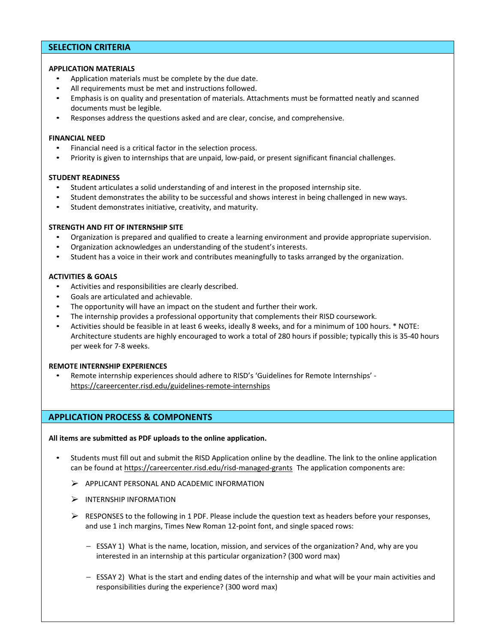## **SELECTION CRITERIA**

#### **APPLICATION MATERIALS**

- Application materials must be complete by the due date.
- All requirements must be met and instructions followed.
- Emphasis is on quality and presentation of materials. Attachments must be formatted neatly and scanned documents must be legible.
- Responses address the questions asked and are clear, concise, and comprehensive.

#### **FINANCIAL NEED**

- Financial need is a critical factor in the selection process.
- Priority is given to internships that are unpaid, low-paid, or present significant financial challenges.

#### **STUDENT READINESS**

- Student articulates a solid understanding of and interest in the proposed internship site.
- Student demonstrates the ability to be successful and shows interest in being challenged in new ways.
- Student demonstrates initiative, creativity, and maturity.

#### **STRENGTH AND FIT OF INTERNSHIP SITE**

- Organization is prepared and qualified to create a learning environment and provide appropriate supervision.
- Organization acknowledges an understanding of the student's interests.
- Student has a voice in their work and contributes meaningfully to tasks arranged by the organization.

#### **ACTIVITIES & GOALS**

- Activities and responsibilities are clearly described.
- Goals are articulated and achievable.
- The opportunity will have an impact on the student and further their work.
- The internship provides a professional opportunity that complements their RISD coursework.
- Activities should be feasible in at least 6 weeks, ideally 8 weeks, and for a minimum of 100 hours. \* NOTE: Architecture students are highly encouraged to work a total of 280 hours if possible; typically this is 35-40 hours per week for 7-8 weeks.

#### **REMOTE INTERNSHIP EXPERIENCES**

• Remote internship experiences should adhere to RISD's 'Guidelines for Remote Internships' <https://careercenter.risd.edu/guidelines-remote-internships>

## **APPLICATION PROCESS & COMPONENTS**

#### **All items are submitted as PDF uploads to the online application.**

- Students must fill out and submit the RISD Application online by the deadline. The link to the online application can be found at <https://careercenter.risd.edu/risd-managed-grants>The application components are:
	- $\triangleright$  APPLICANT PERSONAL AND ACADEMIC INFORMATION
	- $\triangleright$  INTERNSHIP INFORMATION
	- $\triangleright$  RESPONSES to the following in 1 PDF. Please include the question text as headers before your responses, and use 1 inch margins, Times New Roman 12-point font, and single spaced rows:
		- ESSAY 1) What is the name, location, mission, and services of the organization? And, why are you interested in an internship at this particular organization? (300 word max)
		- ESSAY 2) What is the start and ending dates of the internship and what will be your main activities and responsibilities during the experience? (300 word max)